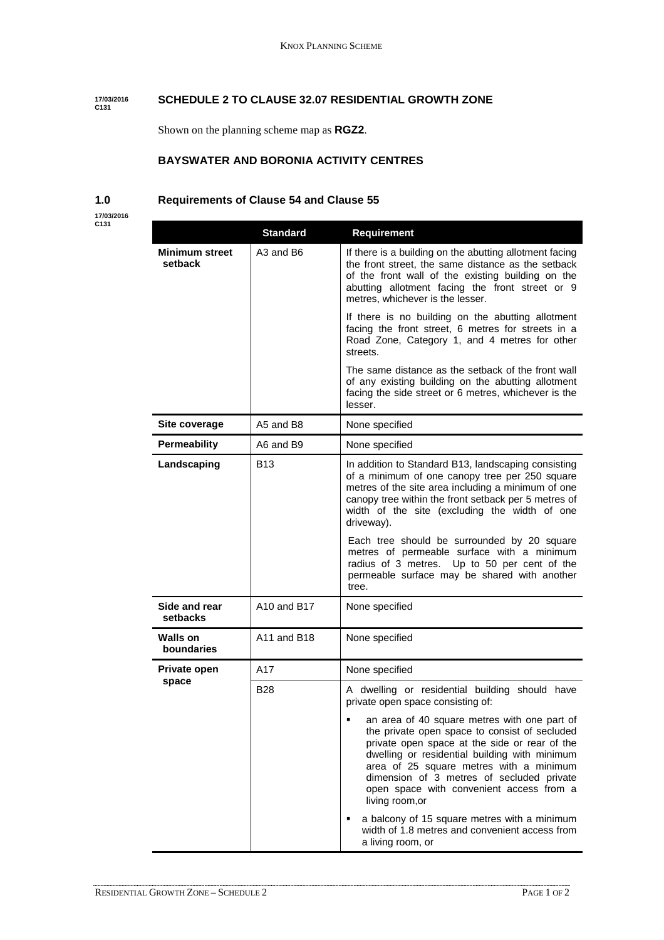#### **SCHEDULE 2 TO CLAUSE 32.07 RESIDENTIAL GROWTH ZONE 17/03/2016 C131**

Shown on the planning scheme map as **RGZ2**.

# **BAYSWATER AND BORONIA ACTIVITY CENTRES**

## **1.0 Requirements of Clause 54 and Clause 55**

**17/03/2016 C131**

|                                  | <b>Standard</b> | <b>Requirement</b>                                                                                                                                                                                                                                                                                                                                     |
|----------------------------------|-----------------|--------------------------------------------------------------------------------------------------------------------------------------------------------------------------------------------------------------------------------------------------------------------------------------------------------------------------------------------------------|
| <b>Minimum street</b><br>setback | A3 and B6       | If there is a building on the abutting allotment facing<br>the front street, the same distance as the setback<br>of the front wall of the existing building on the<br>abutting allotment facing the front street or 9<br>metres, whichever is the lesser.                                                                                              |
|                                  |                 | If there is no building on the abutting allotment<br>facing the front street, 6 metres for streets in a<br>Road Zone, Category 1, and 4 metres for other<br>streets.                                                                                                                                                                                   |
|                                  |                 | The same distance as the setback of the front wall<br>of any existing building on the abutting allotment<br>facing the side street or 6 metres, whichever is the<br>lesser.                                                                                                                                                                            |
| Site coverage                    | A5 and B8       | None specified                                                                                                                                                                                                                                                                                                                                         |
| <b>Permeability</b>              | A6 and B9       | None specified                                                                                                                                                                                                                                                                                                                                         |
| Landscaping                      | <b>B13</b>      | In addition to Standard B13, landscaping consisting<br>of a minimum of one canopy tree per 250 square<br>metres of the site area including a minimum of one<br>canopy tree within the front setback per 5 metres of<br>width of the site (excluding the width of one<br>driveway).                                                                     |
|                                  |                 | Each tree should be surrounded by 20 square<br>metres of permeable surface with a minimum<br>radius of 3 metres. Up to 50 per cent of the<br>permeable surface may be shared with another<br>tree.                                                                                                                                                     |
| Side and rear<br>setbacks        | A10 and B17     | None specified                                                                                                                                                                                                                                                                                                                                         |
| Walls on<br>boundaries           | A11 and B18     | None specified                                                                                                                                                                                                                                                                                                                                         |
| Private open<br>space            | A17             | None specified                                                                                                                                                                                                                                                                                                                                         |
|                                  | <b>B28</b>      | A dwelling or residential building should have<br>private open space consisting of:                                                                                                                                                                                                                                                                    |
|                                  |                 | an area of 40 square metres with one part of<br>the private open space to consist of secluded<br>private open space at the side or rear of the<br>dwelling or residential building with minimum<br>area of 25 square metres with a minimum<br>dimension of 3 metres of secluded private<br>open space with convenient access from a<br>living room, or |
|                                  |                 | a balcony of 15 square metres with a minimum<br>width of 1.8 metres and convenient access from<br>a living room, or                                                                                                                                                                                                                                    |